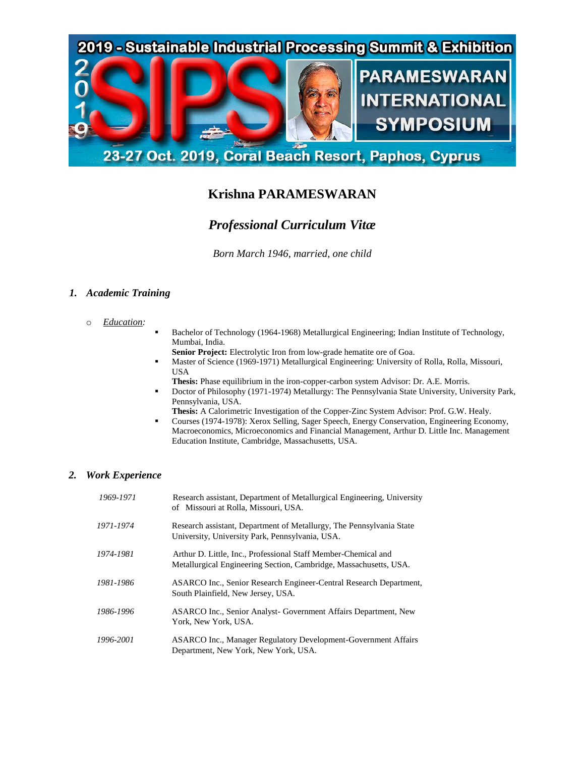

# **Krishna PARAMESWARAN**

# *Professional Curriculum Vitæ*

*Born March 1946, married, one child*

# *1. Academic Training*

- o *Education:*
- Bachelor of Technology (1964-1968) Metallurgical Engineering; Indian Institute of Technology, Mumbai, India.
	- **Senior Project:** Electrolytic Iron from low-grade hematite ore of Goa.
- Master of Science (1969-1971) Metallurgical Engineering: University of Rolla, Rolla, Missouri, USA
- **Thesis:** Phase equilibrium in the iron-copper-carbon system Advisor: Dr. A.E. Morris.
- Doctor of Philosophy (1971-1974) Metallurgy: The Pennsylvania State University, University Park, Pennsylvania, USA.
- **Thesis:** A Calorimetric Investigation of the Copper-Zinc System Advisor: Prof. G.W. Healy.
- Courses (1974-1978): Xerox Selling, Sager Speech, Energy Conservation, Engineering Economy, Macroeconomics, Microeconomics and Financial Management, Arthur D. Little Inc. Management Education Institute, Cambridge, Massachusetts, USA.

## *2. Work Experience*

| 1969-1971 | Research assistant, Department of Metallurgical Engineering, University<br>of Missouri at Rolla, Missouri, USA.                     |
|-----------|-------------------------------------------------------------------------------------------------------------------------------------|
| 1971-1974 | Research assistant, Department of Metallurgy, The Pennsylvania State<br>University, University Park, Pennsylvania, USA.             |
| 1974-1981 | Arthur D. Little, Inc., Professional Staff Member-Chemical and<br>Metallurgical Engineering Section, Cambridge, Massachusetts, USA. |
| 1981-1986 | ASARCO Inc., Senior Research Engineer-Central Research Department,<br>South Plainfield, New Jersey, USA.                            |
| 1986-1996 | ASARCO Inc., Senior Analyst- Government Affairs Department, New<br>York, New York, USA.                                             |
| 1996-2001 | <b>ASARCO Inc., Manager Regulatory Development-Government Affairs</b><br>Department, New York, New York, USA.                       |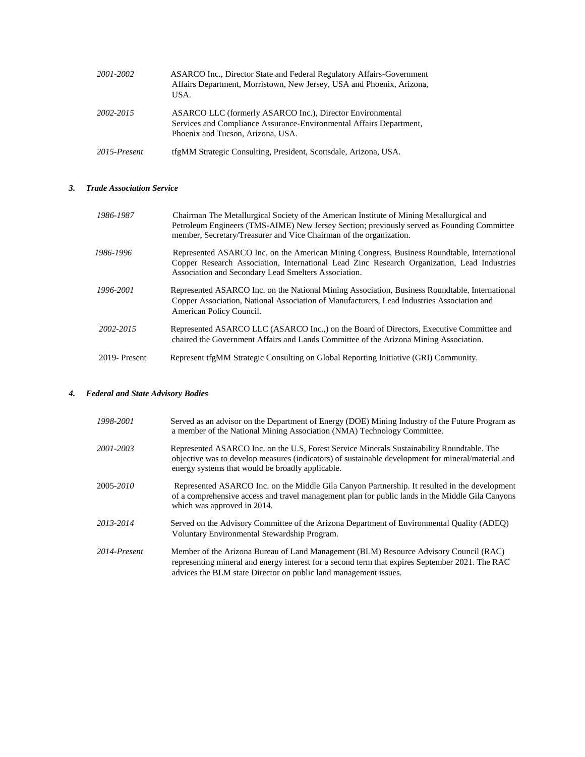| 2001-2002    | <b>ASARCO Inc., Director State and Federal Regulatory Affairs-Government</b><br>Affairs Department, Morristown, New Jersey, USA and Phoenix, Arizona,<br>USA.         |
|--------------|-----------------------------------------------------------------------------------------------------------------------------------------------------------------------|
| 2002-2015    | ASARCO LLC (formerly ASARCO Inc.), Director Environmental<br>Services and Compliance Assurance-Environmental Affairs Department,<br>Phoenix and Tucson, Arizona, USA. |
| 2015-Present | tfgMM Strategic Consulting, President, Scottsdale, Arizona, USA.                                                                                                      |

#### *3. Trade Association Service*

| 1986-1987    | Chairman The Metallurgical Society of the American Institute of Mining Metallurgical and<br>Petroleum Engineers (TMS-AIME) New Jersey Section; previously served as Founding Committee<br>member, Secretary/Treasurer and Vice Chairman of the organization. |
|--------------|--------------------------------------------------------------------------------------------------------------------------------------------------------------------------------------------------------------------------------------------------------------|
| 1986-1996    | Represented ASARCO Inc. on the American Mining Congress, Business Roundtable, International<br>Copper Research Association, International Lead Zinc Research Organization, Lead Industries<br>Association and Secondary Lead Smelters Association.           |
| 1996-2001    | Represented ASARCO Inc. on the National Mining Association, Business Roundtable, International<br>Copper Association, National Association of Manufacturers, Lead Industries Association and<br>American Policy Council.                                     |
| 2002-2015    | Represented ASARCO LLC (ASARCO Inc.,) on the Board of Directors, Executive Committee and<br>chaired the Government Affairs and Lands Committee of the Arizona Mining Association.                                                                            |
| 2019-Present | Represent tfgMM Strategic Consulting on Global Reporting Initiative (GRI) Community.                                                                                                                                                                         |

### *4. Federal and State Advisory Bodies*

| 1998-2001    | Served as an advisor on the Department of Energy (DOE) Mining Industry of the Future Program as<br>a member of the National Mining Association (NMA) Technology Committee.                                                                                   |
|--------------|--------------------------------------------------------------------------------------------------------------------------------------------------------------------------------------------------------------------------------------------------------------|
| 2001-2003    | Represented ASARCO Inc. on the U.S. Forest Service Minerals Sustainability Roundtable. The<br>objective was to develop measures (indicators) of sustainable development for mineral/material and<br>energy systems that would be broadly applicable.         |
| 2005-2010    | Represented ASARCO Inc. on the Middle Gila Canyon Partnership. It resulted in the development<br>of a comprehensive access and travel management plan for public lands in the Middle Gila Canyons<br>which was approved in 2014.                             |
| 2013-2014    | Served on the Advisory Committee of the Arizona Department of Environmental Quality (ADEQ)<br>Voluntary Environmental Stewardship Program.                                                                                                                   |
| 2014-Present | Member of the Arizona Bureau of Land Management (BLM) Resource Advisory Council (RAC)<br>representing mineral and energy interest for a second term that expires September 2021. The RAC<br>advices the BLM state Director on public land management issues. |